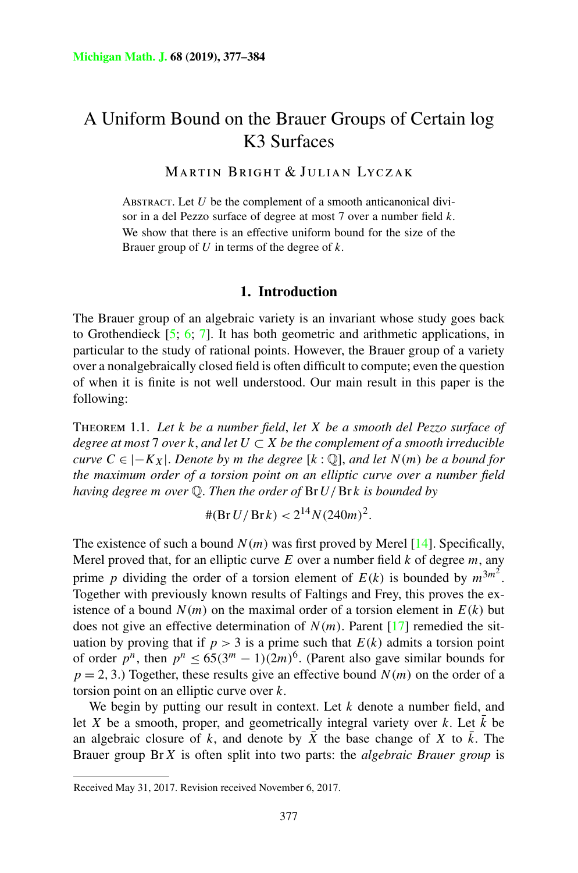# <span id="page-0-0"></span>A Uniform Bound on the Brauer Groups of Certain log K3 Surfaces

Martin Bright & Julian Lyczak

ABSTRACT. Let *U* be the complement of a smooth anticanonical divisor in a del Pezzo surface of degree at most 7 over a number field *k*. We show that there is an effective uniform bound for the size of the Brauer group of *U* in terms of the degree of *k*.

#### **1. Introduction**

The Brauer group of an algebraic variety is an invariant whose study goes back to Grothendieck  $[5, 6, 7]$  $[5, 6, 7]$  $[5, 6, 7]$ . It has both geometric and arithmetic applications, in particular to the study of rational points. However, the Brauer group of a variety over a nonalgebraically closed field is often difficult to compute; even the question of when it is finite is not well understood. Our main result in this paper is the following:

Theorem 1.1. *Let k be a number field*, *let X be a smooth del Pezzo surface of degree at most* 7 *over k*, *and let U* ⊂ *X be the complement of a smooth irreducible curve*  $C \in |-K_X|$ . *Denote by m the degree*  $[k: \mathbb{Q}]$ , *and let*  $N(m)$  *be a bound for the maximum order of a torsion point on an elliptic curve over a number field having degree m over* Q. *Then the order of* Br*U/*Br *k is bounded by*

$$
\#(\text{Br } U / \text{Br } k) < 2^{14} N (240m)^2.
$$

The existence of such a bound  $N(m)$  was first proved by Merel  $[14]$  $[14]$ . Specifically, Merel proved that, for an elliptic curve *E* over a number field *k* of degree *m*, any prime *p* dividing the order of a torsion element of  $E(k)$  is bounded by  $m^{3m^2}$ . Together with previously known results of Faltings and Frey, this proves the existence of a bound  $N(m)$  on the maximal order of a torsion element in  $E(k)$  but does not give an effective determination of  $N(m)$ . Parent [[17\]](#page-7-0) remedied the situation by proving that if  $p > 3$  is a prime such that  $E(k)$  admits a torsion point of order  $p^n$ , then  $p^n \le 65(3^m - 1)(2m)^6$ . (Parent also gave similar bounds for  $p = 2, 3$ .) Together, these results give an effective bound  $N(m)$  on the order of a torsion point on an elliptic curve over *k*.

We begin by putting our result in context. Let *k* denote a number field, and let *X* be a smooth, proper, and geometrically integral variety over *k*. Let  $\bar{k}$  be an algebraic closure of k, and denote by  $\overline{X}$  the base change of X to  $\overline{k}$ . The Brauer group Br*X* is often split into two parts: the *algebraic Brauer group* is

Received May 31, 2017. Revision received November 6, 2017.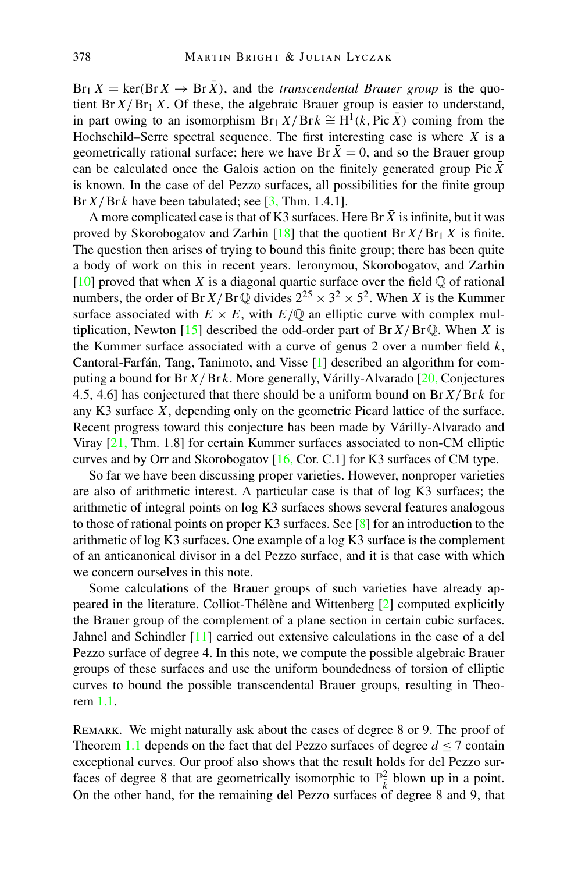$Br_1 X = \text{ker}(Br X \rightarrow Br \overline{X})$ , and the *transcendental Brauer group* is the quotient Br $X/Br_1 X$ . Of these, the algebraic Brauer group is easier to understand, in part owing to an isomorphism  $Br_1 X/Brk \cong H^1(k, Pic \bar{X})$  coming from the Hochschild–Serre spectral sequence. The first interesting case is where *X* is a geometrically rational surface; here we have Br  $\bar{X} = 0$ , and so the Brauer group can be calculated once the Galois action on the finitely generated group Pic  $\bar{X}$ is known. In the case of del Pezzo surfaces, all possibilities for the finite group Br  $X/Br k$  have been tabulated; see [[3,](#page-6-0) Thm. 1.4.1].

A more complicated case is that of K3 surfaces. Here Br  $\overline{X}$  is infinite, but it was proved by Skorobogatov and Zarhin  $[18]$  $[18]$  that the quotient Br  $X/Br_1 X$  is finite. The question then arises of trying to bound this finite group; there has been quite a body of work on this in recent years. Ieronymou, Skorobogatov, and Zarhin  $[10]$  $[10]$  proved that when *X* is a diagonal quartic surface over the field  $\mathbb Q$  of rational numbers, the order of Br  $X/BrQ$  divides  $2^{25} \times 3^2 \times 5^2$ . When *X* is the Kummer surface associated with  $E \times E$ , with  $E/\mathbb{Q}$  an elliptic curve with complex multiplication, Newton  $[15]$  $[15]$  described the odd-order part of Br  $X/Br\mathbb{O}$ . When X is the Kummer surface associated with a curve of genus 2 over a number field *k*, Cantoral-Farfán, Tang, Tanimoto, and Visse [[1\]](#page-6-0) described an algorithm for computing a bound for Br*X/*Br *k*. More generally, Várilly-Alvarado [\[20](#page-7-0), Conjectures 4.5, 4.6] has conjectured that there should be a uniform bound on Br*X/*Br *k* for any K3 surface *X*, depending only on the geometric Picard lattice of the surface. Recent progress toward this conjecture has been made by Várilly-Alvarado and Viray [[21,](#page-7-0) Thm. 1.8] for certain Kummer surfaces associated to non-CM elliptic curves and by Orr and Skorobogatov [[16,](#page-7-0) Cor. C.1] for K3 surfaces of CM type.

So far we have been discussing proper varieties. However, nonproper varieties are also of arithmetic interest. A particular case is that of log K3 surfaces; the arithmetic of integral points on log K3 surfaces shows several features analogous to those of rational points on proper K3 surfaces. See  $[8]$  $[8]$  for an introduction to the arithmetic of log K3 surfaces. One example of a log K3 surface is the complement of an anticanonical divisor in a del Pezzo surface, and it is that case with which we concern ourselves in this note.

Some calculations of the Brauer groups of such varieties have already appeared in the literature. Colliot-Thélène and Wittenberg [\[2](#page-6-0)] computed explicitly the Brauer group of the complement of a plane section in certain cubic surfaces. Jahnel and Schindler [\[11](#page-7-0)] carried out extensive calculations in the case of a del Pezzo surface of degree 4. In this note, we compute the possible algebraic Brauer groups of these surfaces and use the uniform boundedness of torsion of elliptic curves to bound the possible transcendental Brauer groups, resulting in Theorem [1.1](#page-0-0).

Remark. We might naturally ask about the cases of degree 8 or 9. The proof of Theorem [1.1](#page-0-0) depends on the fact that del Pezzo surfaces of degree  $d \leq 7$  contain exceptional curves. Our proof also shows that the result holds for del Pezzo surfaces of degree 8 that are geometrically isomorphic to  $\mathbb{P}^2_{\bar{k}}$  blown up in a point. On the other hand, for the remaining del Pezzo surfaces of degree 8 and 9, that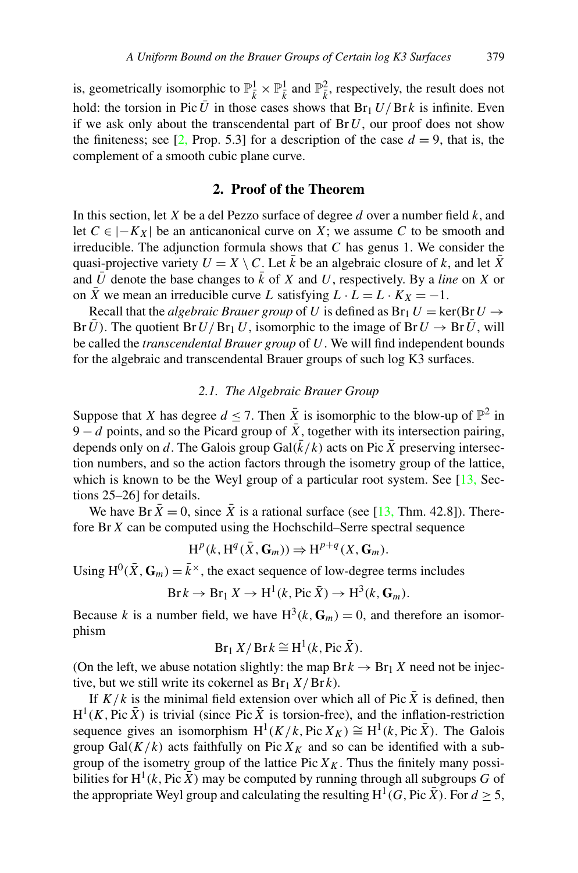is, geometrically isomorphic to  $\mathbb{P}_{\bar{k}}^1 \times \mathbb{P}_{\bar{k}}^1$  and  $\mathbb{P}_{\bar{k}}^2$ , respectively, the result does not hold: the torsion in Pic  $\bar{U}$  in those cases shows that  $Br_1 U/Br k$  is infinite. Even if we ask only about the transcendental part of  $Br U$ , our proof does not show the finiteness; see [\[2](#page-6-0), Prop. 5.3] for a description of the case  $d = 9$ , that is, the complement of a smooth cubic plane curve.

## **2. Proof of the Theorem**

In this section, let *X* be a del Pezzo surface of degree *d* over a number field *k*, and let  $C ∈ |−K_X|$  be an anticanonical curve on *X*; we assume *C* to be smooth and irreducible. The adjunction formula shows that *C* has genus 1. We consider the quasi-projective variety  $U = X \setminus C$ . Let  $\overline{k}$  be an algebraic closure of k, and let  $\overline{X}$ and  $\overline{U}$  denote the base changes to  $\overline{k}$  of *X* and *U*, respectively. By a *line* on *X* or on  $\overline{X}$  we mean an irreducible curve *L* satisfying  $L \cdot L = L \cdot K_X = -1$ .

Recall that the *algebraic Brauer group* of *U* is defined as  $Br_1 U = \text{ker}(Br U \rightarrow$ Br*U*). The quotient Br*U*/Br<sub>1</sub>*U*, isomorphic to the image of Br*U*  $\rightarrow$  Br*U*, will be called the *transcendental Brauer group* of *U*. We will find independent bounds for the algebraic and transcendental Brauer groups of such log K3 surfaces.

#### *2.1. The Algebraic Brauer Group*

Suppose that *X* has degree  $d \le 7$ . Then  $\overline{X}$  is isomorphic to the blow-up of  $\mathbb{P}^2$  in  $9 - d$  points, and so the Picard group of  $\bar{X}$ , together with its intersection pairing, depends only on *d*. The Galois group Gal( $\bar{k}/k$ ) acts on Pic  $\bar{X}$  preserving intersection numbers, and so the action factors through the isometry group of the lattice, which is known to be the Weyl group of a particular root system. See  $[13, Sec [13, Sec$ tions 25–26] for details.

We have Br  $\bar{X} = 0$ , since  $\bar{X}$  is a rational surface (see [\[13](#page-7-0), Thm. 42.8]). Therefore Br*X* can be computed using the Hochschild–Serre spectral sequence

$$
H^p(k, H^q(\bar{X}, \mathbf{G}_m)) \Rightarrow H^{p+q}(X, \mathbf{G}_m).
$$

Using  $H^0(\bar{X}, \mathbf{G}_m) = \bar{k}^\times$ , the exact sequence of low-degree terms includes

$$
Br k \to Br_1 X \to H^1(k, Pic \bar{X}) \to H^3(k, G_m).
$$

Because *k* is a number field, we have  $H^3(k, \mathbf{G}_m) = 0$ , and therefore an isomorphism

$$
Br_1 X/Br k \cong H^1(k, Pic \bar{X}).
$$

(On the left, we abuse notation slightly: the map  $Br k \to Br_1 X$  need not be injective, but we still write its cokernel as  $Br_1 X/Brk$ ).

If  $K/k$  is the minimal field extension over which all of Pic  $\overline{X}$  is defined, then  $H^1(K, \text{Pic }\bar{X})$  is trivial (since Pic  $\bar{X}$  is torsion-free), and the inflation-restriction sequence gives an isomorphism  $H^1(K/k, Pic X_K) \cong H^1(k, Pic \overline{X})$ . The Galois group Gal $(K/k)$  acts faithfully on Pic  $X_K$  and so can be identified with a subgroup of the isometry group of the lattice Pic  $X_K$ . Thus the finitely many possibilities for  $H^1(k, \text{Pic }\bar{X})$  may be computed by running through all subgroups *G* of the appropriate Weyl group and calculating the resulting  $H^1(G, Pic X)$ . For  $d \geq 5$ ,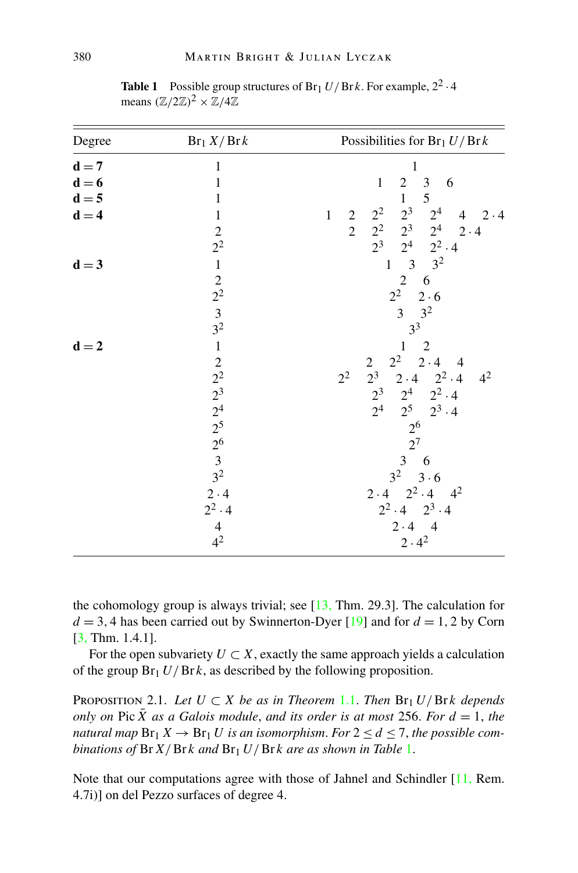| Degree           | $Br_1 X/Brk$                                               | Possibilities for $Br_1 U/Brk$                                               |
|------------------|------------------------------------------------------------|------------------------------------------------------------------------------|
| $d = 7$          | 1                                                          | $\mathbf{1}$                                                                 |
| $d = 6$          | $\mathbf{1}$                                               | $\sqrt{2}$<br>$\mathfrak z$<br>$\mathbf{1}$<br>6                             |
| $d = 5$          | $\mathbf{1}$                                               | 5<br>$\mathbf{1}$                                                            |
| $d = 4$          | $\,1$                                                      | $2^3$<br>$2^2$<br>2 <sup>4</sup><br>$\,1$<br>$4 \quad 2.4$<br>$\overline{c}$ |
|                  |                                                            | $\overline{2}$<br>$2^{2}$<br>$2^3$ $2^4$<br>$2 \cdot 4$                      |
|                  | $\frac{2}{2^2}$                                            | $2^3$<br>$2^4$ $2^2 \cdot 4$                                                 |
| $d = 3$          |                                                            | $3^{2}$<br>$\,1\,$                                                           |
|                  |                                                            | $\overline{2}$<br>6                                                          |
|                  |                                                            | $2^2$<br>$2 \cdot 6$                                                         |
|                  |                                                            | 3 <sup>2</sup><br>$\overline{3}$                                             |
|                  | $\frac{1}{2}$<br>$\frac{2}{3}$<br>$\frac{3}{2}$            | 3 <sup>3</sup>                                                               |
| $\mathbf{d} = 2$ | $\,1\,$                                                    | $\mathbf{1}$<br>$\overline{2}$                                               |
|                  |                                                            | $2 \cdot 4$<br>$2^2$<br>$\sqrt{2}$<br>$\overline{4}$                         |
|                  | $22^2$<br>$2^3$<br>$2^4$<br>$2^5$<br>$2^6$<br>$3$<br>$3^2$ | $2^3$ $2 \cdot 4$ $2^2 \cdot 4$<br>2 <sup>2</sup><br>4 <sup>2</sup>          |
|                  |                                                            | $2^4$ $2^2 \cdot 4$<br>$2^3$                                                 |
|                  |                                                            | 2 <sup>4</sup><br>$2^5$ $2^3 \cdot 4$                                        |
|                  |                                                            |                                                                              |
|                  |                                                            | $\frac{2^6}{2^7}$                                                            |
|                  |                                                            | $\mathfrak 3$<br>6                                                           |
|                  |                                                            | 3 <sup>2</sup><br>$3 \cdot 6$                                                |
|                  | $2 \cdot 4$                                                | $2 \cdot 4$ $2^2 \cdot 4$ $4^2$                                              |
|                  | $2^2 \cdot 4$                                              | $2^2 \cdot 4$ $2^3 \cdot 4$                                                  |
|                  | $\overline{4}$                                             | $2.4 - 4$                                                                    |
|                  | 4 <sup>2</sup>                                             | $2 \cdot 4^2$                                                                |
|                  |                                                            |                                                                              |

<span id="page-3-0"></span>**Table 1** Possible group structures of Br<sub>1</sub>  $U/Brk$ . For example,  $2^2 \cdot 4$ means  $(\mathbb{Z}/2\mathbb{Z})^2 \times \mathbb{Z}/4\mathbb{Z}$ 

the cohomology group is always trivial; see  $[13, Thm. 29.3]$  $[13, Thm. 29.3]$  $[13, Thm. 29.3]$ . The calculation for  $d = 3, 4$  has been carried out by Swinnerton-Dyer [[19\]](#page-7-0) and for  $d = 1, 2$  by Corn [[3,](#page-6-0) Thm. 1.4.1].

For the open subvariety  $U \subset X$ , exactly the same approach yields a calculation of the group  $Br_1 U/Br k$ , as described by the following proposition.

PROPOSITION 2.1. *Let*  $U \subset X$  *be as in Theorem* [1.1](#page-0-0). *Then*  $Br_1 U/Br k$  *depends only on* Pic  $\bar{X}$  *as a Galois module, and its order is at most* 256. *For*  $d = 1$ *, the natural map*  $\text{Br}_1 X \to \text{Br}_1 U$  *is an isomorphism. For*  $2 \le d \le 7$ *, the possible combinations of* Br*X/*Br *k and* Br1 *U/*Br *k are as shown in Table* 1.

Note that our computations agree with those of Jahnel and Schindler [\[11](#page-7-0), Rem. 4.7i)] on del Pezzo surfaces of degree 4.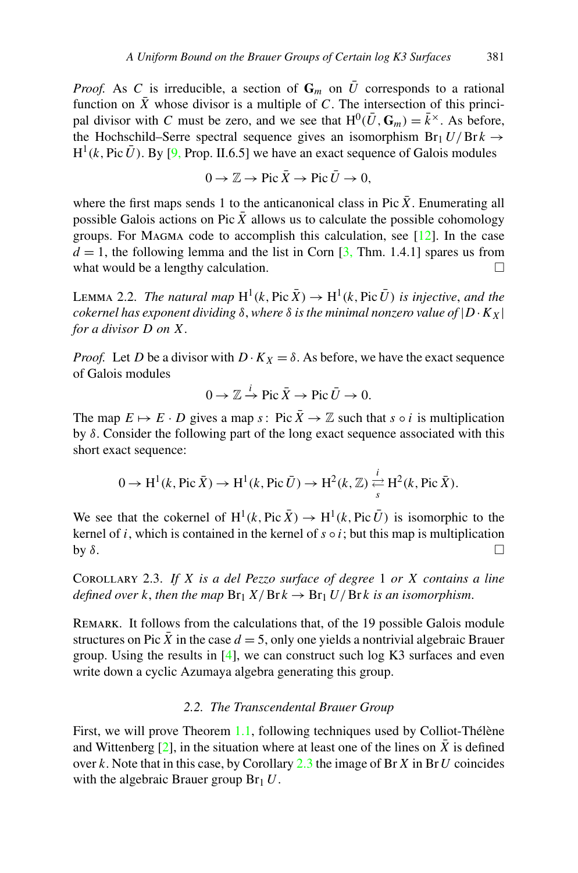<span id="page-4-0"></span>*Proof.* As C is irreducible, a section of  $\mathbf{G}_m$  on  $\overline{U}$  corresponds to a rational function on  $\overline{X}$  whose divisor is a multiple of *C*. The intersection of this principal divisor with *C* must be zero, and we see that  $H^0(\bar{U}, \mathbf{G}_m) = \bar{k}^\times$ . As before, the Hochschild–Serre spectral sequence gives an isomorphism  $Br_1 U/Br k \rightarrow$  $H^1(k, Pic\bar{U})$ . By [\[9](#page-7-0), Prop. II.6.5] we have an exact sequence of Galois modules

$$
0 \to \mathbb{Z} \to \text{Pic } \bar{X} \to \text{Pic } \bar{U} \to 0,
$$

where the first maps sends 1 to the anticanonical class in Pic  $\overline{X}$ . Enumerating all possible Galois actions on Pic  $\bar{X}$  allows us to calculate the possible cohomology groups. For MAGMA code to accomplish this calculation, see  $[12]$  $[12]$ . In the case  $d = 1$ , the following lemma and the list in Corn  $[3, Thm. 1.4.1]$  $[3, Thm. 1.4.1]$  spares us from what would be a lengthy calculation.

LEMMA 2.2. *The natural map*  $H^1(k, Pic \bar{X}) \to H^1(k, Pic \bar{U})$  *is injective, and the cokernel has exponent dividing*  $\delta$ , *where*  $\delta$  *is the minimal nonzero value of*  $|D \cdot K_X|$ *for a divisor D on X*.

*Proof.* Let *D* be a divisor with  $D \cdot K_X = \delta$ . As before, we have the exact sequence of Galois modules

$$
0 \to \mathbb{Z} \xrightarrow{i} \text{Pic } \bar{X} \to \text{Pic } \bar{U} \to 0.
$$

The map  $E \mapsto E \cdot D$  gives a map *s*: Pic  $\bar{X} \to \mathbb{Z}$  such that *s*  $\circ i$  is multiplication by *δ*. Consider the following part of the long exact sequence associated with this short exact sequence:

$$
0 \to H^1(k, \text{Pic } \bar{X}) \to H^1(k, \text{Pic } \bar{U}) \to H^2(k, \mathbb{Z}) \xrightarrow[s]{i} H^2(k, \text{Pic } \bar{X}).
$$

We see that the cokernel of  $H^1(k, Pic \bar{X}) \rightarrow H^1(k, Pic \bar{U})$  is isomorphic to the kernel of *i*, which is contained in the kernel of  $s \circ i$ ; but this map is multiplication by  $\delta$ . by  $\delta$ .

Corollary 2.3. *If X is a del Pezzo surface of degree* 1 *or X contains a line defined over k*, *then the map*  $Br_1 X/Brk \rightarrow Br_1 U/Brk$  *is an isomorphism.* 

Remark. It follows from the calculations that, of the 19 possible Galois module structures on Pic  $\bar{X}$  in the case  $d = 5$ , only one yields a nontrivial algebraic Brauer group. Using the results in  $[4]$  $[4]$ , we can construct such log K3 surfaces and even write down a cyclic Azumaya algebra generating this group.

### *2.2. The Transcendental Brauer Group*

First, we will prove Theorem [1.1,](#page-0-0) following techniques used by Colliot-Thélène and Wittenberg  $[2]$  $[2]$ , in the situation where at least one of the lines on *X* is defined over *k*. Note that in this case, by Corollary 2.3 the image of Br*X* in Br*U* coincides with the algebraic Brauer group  $Br<sub>1</sub>U$ .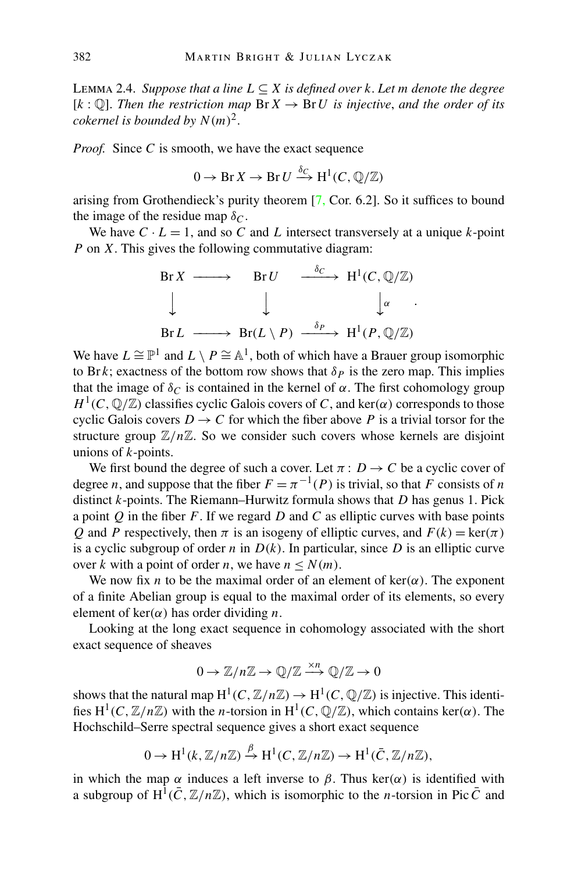Lemma 2.4. *Suppose that a line L* ⊆ *X is defined over k*. *Let m denote the degree*  $[k: \mathbb{Q}]$ . Then the restriction map  $\text{Br } X \to \text{Br } U$  is injective, and the order of its *cokernel is bounded by*  $N(m)^2$ .

*Proof.* Since *C* is smooth, we have the exact sequence

$$
0 \to \operatorname{Br} X \to \operatorname{Br} U \xrightarrow{\delta_C} \operatorname{H}^1(C, \mathbb{Q}/\mathbb{Z})
$$

arising from Grothendieck's purity theorem [[7,](#page-7-0) Cor. 6.2]. So it suffices to bound the image of the residue map  $\delta_C$ .

We have  $C \cdot L = 1$ , and so  $C$  and  $L$  intersect transversely at a unique  $k$ -point *P* on *X*. This gives the following commutative diagram:

$$
\begin{array}{cccc}\n\text{Br } X & \longrightarrow & \text{Br } U & \xrightarrow{\delta_C} & \text{H}^1(C, \mathbb{Q}/\mathbb{Z}) \\
\downarrow & & \downarrow & & \downarrow^{\alpha} \\
\text{Br } L & \longrightarrow & \text{Br}(L \setminus P) & \xrightarrow{\delta_P} & \text{H}^1(P, \mathbb{Q}/\mathbb{Z})\n\end{array}
$$

We have  $L \cong \mathbb{P}^1$  and  $L \setminus P \cong \mathbb{A}^1$ , both of which have a Brauer group isomorphic to Br *k*; exactness of the bottom row shows that  $\delta_p$  is the zero map. This implies that the image of  $\delta_C$  is contained in the kernel of  $\alpha$ . The first cohomology group  $H^1(C, \mathbb{Q}/\mathbb{Z})$  classifies cyclic Galois covers of *C*, and ker $(\alpha)$  corresponds to those cyclic Galois covers  $D \to C$  for which the fiber above *P* is a trivial torsor for the structure group  $\mathbb{Z}/n\mathbb{Z}$ . So we consider such covers whose kernels are disjoint unions of *k*-points.

We first bound the degree of such a cover. Let  $\pi$ :  $D \rightarrow C$  be a cyclic cover of degree *n*, and suppose that the fiber  $F = \pi^{-1}(P)$  is trivial, so that *F* consists of *n* distinct *k*-points. The Riemann–Hurwitz formula shows that *D* has genus 1. Pick a point *Q* in the fiber *F*. If we regard *D* and *C* as elliptic curves with base points *Q* and *P* respectively, then  $\pi$  is an isogeny of elliptic curves, and  $F(k) = \text{ker}(\pi)$ is a cyclic subgroup of order *n* in  $D(k)$ . In particular, since *D* is an elliptic curve over *k* with a point of order *n*, we have  $n \le N(m)$ .

We now fix *n* to be the maximal order of an element of  $\text{ker}(\alpha)$ . The exponent of a finite Abelian group is equal to the maximal order of its elements, so every element of  $ker(\alpha)$  has order dividing *n*.

Looking at the long exact sequence in cohomology associated with the short exact sequence of sheaves

$$
0 \to \mathbb{Z}/n\mathbb{Z} \to \mathbb{Q}/\mathbb{Z} \xrightarrow{\times n} \mathbb{Q}/\mathbb{Z} \to 0
$$

shows that the natural map  $H^1(C, \mathbb{Z}/n\mathbb{Z}) \to H^1(C, \mathbb{Q}/\mathbb{Z})$  is injective. This identifies  $H^1(C, \mathbb{Z}/n\mathbb{Z})$  with the *n*-torsion in  $H^1(C, \mathbb{Q}/\mathbb{Z})$ , which contains ker $(\alpha)$ . The Hochschild–Serre spectral sequence gives a short exact sequence

$$
0 \to H^1(k, \mathbb{Z}/n\mathbb{Z}) \xrightarrow{\beta} H^1(C, \mathbb{Z}/n\mathbb{Z}) \to H^1(\overline{C}, \mathbb{Z}/n\mathbb{Z}),
$$

in which the map  $\alpha$  induces a left inverse to  $\beta$ . Thus ker $(\alpha)$  is identified with a subgroup of  $H^1(\bar{C}, \mathbb{Z}/n\mathbb{Z})$ , which is isomorphic to the *n*-torsion in Pic  $\bar{C}$  and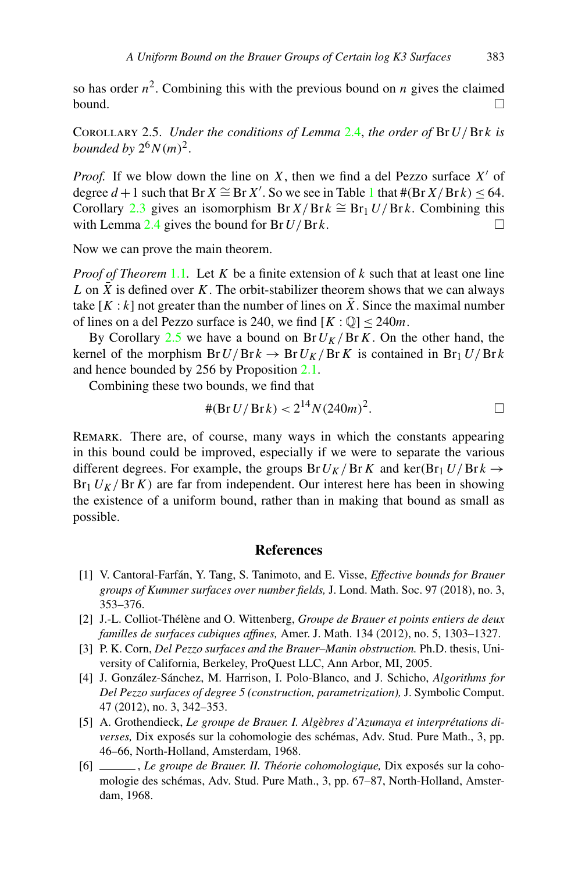<span id="page-6-0"></span>so has order  $n^2$ . Combining this with the previous bound on *n* gives the claimed bound.  $\Box$ 

COROLLARY 2.5. *Under the conditions of Lemma* [2.4](#page-4-0), *the order of*  $\text{Br } U / \text{Br } k$  *is bounded by*  $2^6 N(m)^2$ .

*Proof.* If we blow down the line on *X*, then we find a del Pezzo surface *X* of degree  $d + 1$  $d + 1$  such that Br  $X \cong$  Br  $X'$ . So we see in Table 1 that  $\#(\text{Br } X / \text{Br } k) \leq 64$ . Corollary [2.3](#page-4-0) gives an isomorphism Br  $X/Br k \cong Br_1 U/Br k$ . Combining this with Lemma  $2.4$  gives the bound for Br  $U/Brk$ .

Now we can prove the main theorem.

*Proof of Theorem* [1.1](#page-0-0)*.* Let *K* be a finite extension of *k* such that at least one line  $L$  on  $X$  is defined over  $K$ . The orbit-stabilizer theorem shows that we can always take  $[K : k]$  not greater than the number of lines on  $\overline{X}$ . Since the maximal number of lines on a del Pezzo surface is 240, we find  $[K: \mathbb{Q}]$  < 240*m*.

By Corollary 2.5 we have a bound on  $Br U_K / Br K$ . On the other hand, the kernel of the morphism  $Br U/Br k \rightarrow Br U_K/Br K$  is contained in  $Br_1 U/Br k$ and hence bounded by 256 by Proposition [2.1](#page-3-0).

Combining these two bounds, we find that

#*(*Br*U/*Br *k) <* 214*N (*240*m)*2*.* -

Remark. There are, of course, many ways in which the constants appearing in this bound could be improved, especially if we were to separate the various different degrees. For example, the groups  $Br U_K / Br K$  and  $\ker (Br_1 U / Br k \rightarrow$  $Br_1 U_K / Br K$ ) are far from independent. Our interest here has been in showing the existence of a uniform bound, rather than in making that bound as small as possible.

#### **References**

- [1] V. Cantoral-Farfán, Y. Tang, S. Tanimoto, and E. Visse, *Effective bounds for Brauer groups of Kummer surfaces over number fields,* J. Lond. Math. Soc. 97 (2018), no. 3, 353–376.
- [2] J.-L. Colliot-Thélène and O. Wittenberg, *Groupe de Brauer et points entiers de deux familles de surfaces cubiques affines,* Amer. J. Math. 134 (2012), no. 5, 1303–1327.
- [3] P. K. Corn, *Del Pezzo surfaces and the Brauer–Manin obstruction.* Ph.D. thesis, University of California, Berkeley, ProQuest LLC, Ann Arbor, MI, 2005.
- [4] J. González-Sánchez, M. Harrison, I. Polo-Blanco, and J. Schicho, *Algorithms for Del Pezzo surfaces of degree 5 (construction, parametrization),* J. Symbolic Comput. 47 (2012), no. 3, 342–353.
- [5] A. Grothendieck, *Le groupe de Brauer. I. Algèbres d'Azumaya et interprétations diverses,* Dix exposés sur la cohomologie des schémas, Adv. Stud. Pure Math., 3, pp. 46–66, North-Holland, Amsterdam, 1968.
- [6] , *Le groupe de Brauer. II. Théorie cohomologique,* Dix exposés sur la cohomologie des schémas, Adv. Stud. Pure Math., 3, pp. 67–87, North-Holland, Amsterdam, 1968.